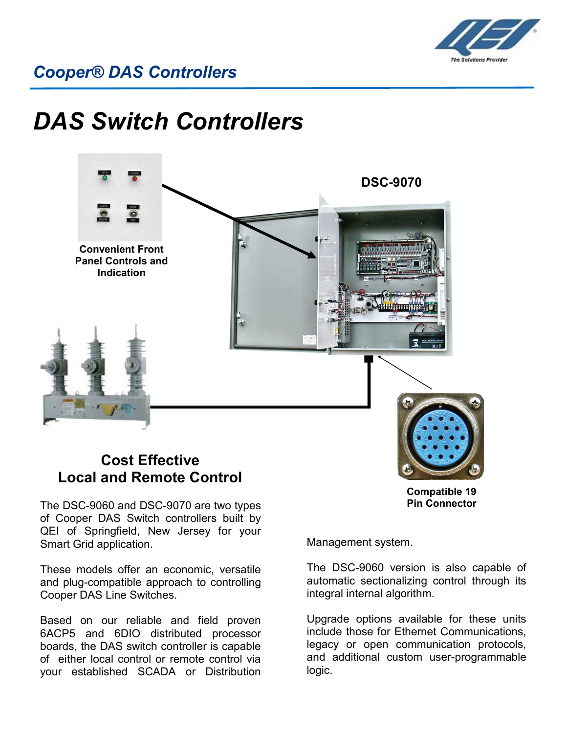

# *DAS Switch Controllers*



## **Cost Effective Local and Remote Control**

The DSC-9060 and DSC-9070 are two types of Cooper DAS Switch controllers built by QEI of Springfield, New Jersey for your Smart Grid application.

These models offer an economic, versatile and plug-compatible approach to controlling Cooper DAS Line Switches.

Based on our reliable and field proven 6ACP5 and 6DIO distributed processor boards, the DAS switch controller is capable of either local control or remote control via your established SCADA or Distribution

**Compatible 19 Pin Connector**

Management system.

The DSC-9060 version is also capable of automatic sectionalizing control through its integral internal algorithm.

Upgrade options available for these units include those for Ethernet Communications, legacy or open communication protocols, and additional custom user-programmable logic.